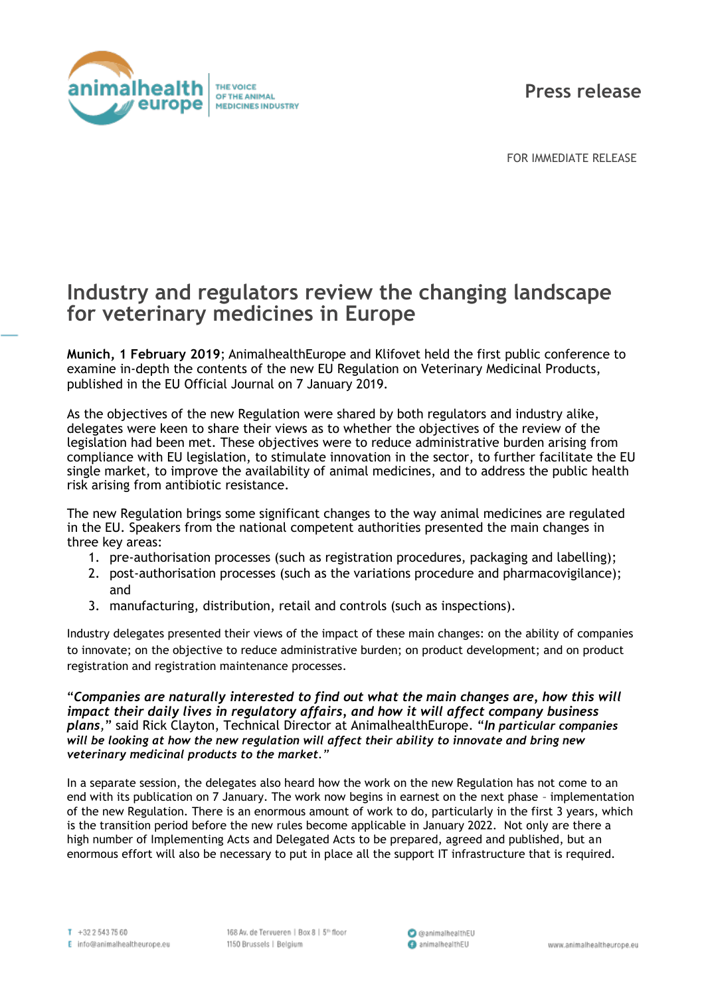

FOR IMMEDIATE RELEASE

## **Industry and regulators review the changing landscape for veterinary medicines in Europe**

**Munich, 1 February 2019**; AnimalhealthEurope and Klifovet held the first public conference to examine in-depth the contents of the new EU Regulation on Veterinary Medicinal Products, published in the EU Official Journal on 7 January 2019.

As the objectives of the new Regulation were shared by both regulators and industry alike, delegates were keen to share their views as to whether the objectives of the review of the legislation had been met. These objectives were to reduce administrative burden arising from compliance with EU legislation, to stimulate innovation in the sector, to further facilitate the EU single market, to improve the availability of animal medicines, and to address the public health risk arising from antibiotic resistance.

The new Regulation brings some significant changes to the way animal medicines are regulated in the EU. Speakers from the national competent authorities presented the main changes in three key areas:

- 1. pre-authorisation processes (such as registration procedures, packaging and labelling);
- 2. post-authorisation processes (such as the variations procedure and pharmacovigilance); and
- 3. manufacturing, distribution, retail and controls (such as inspections).

Industry delegates presented their views of the impact of these main changes: on the ability of companies to innovate; on the objective to reduce administrative burden; on product development; and on product registration and registration maintenance processes.

"*Companies are naturally interested to find out what the main changes are, how this will impact their daily lives in regulatory affairs, and how it will affect company business plans,*" said Rick Clayton, Technical Director at AnimalhealthEurope. "*In particular companies will be looking at how the new regulation will affect their ability to innovate and bring new veterinary medicinal products to the market."*

In a separate session, the delegates also heard how the work on the new Regulation has not come to an end with its publication on 7 January. The work now begins in earnest on the next phase – implementation of the new Regulation. There is an enormous amount of work to do, particularly in the first 3 years, which is the transition period before the new rules become applicable in January 2022. Not only are there a high number of Implementing Acts and Delegated Acts to be prepared, agreed and published, but an enormous effort will also be necessary to put in place all the support IT infrastructure that is required.